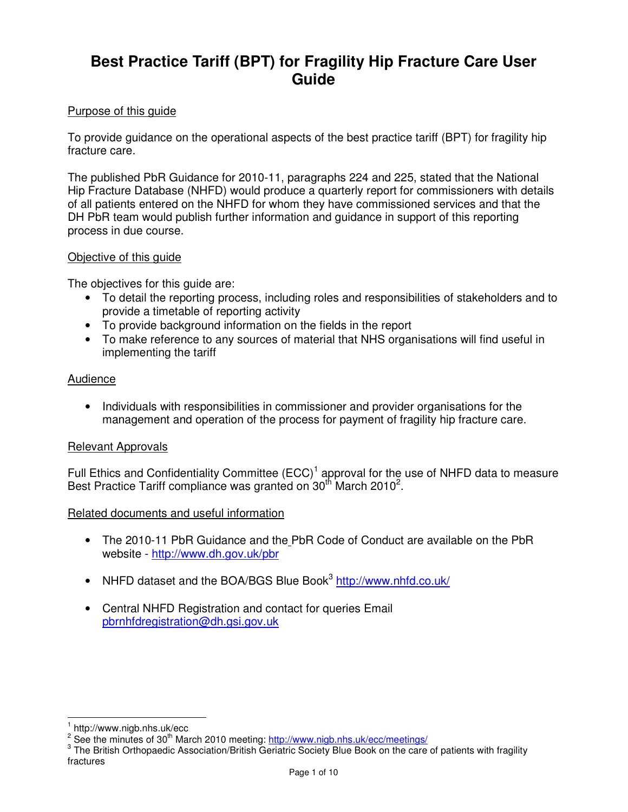### **Best Practice Tariff (BPT) for Fragility Hip Fracture Care User Guide**

#### Purpose of this guide

To provide guidance on the operational aspects of the best practice tariff (BPT) for fragility hip fracture care.

The published PbR Guidance for 2010-11, paragraphs 224 and 225, stated that the National Hip Fracture Database (NHFD) would produce a quarterly report for commissioners with details of all patients entered on the NHFD for whom they have commissioned services and that the DH PbR team would publish further information and guidance in support of this reporting process in due course.

#### Objective of this guide

The objectives for this guide are:

- To detail the reporting process, including roles and responsibilities of stakeholders and to provide a timetable of reporting activity
- To provide background information on the fields in the report
- To make reference to any sources of material that NHS organisations will find useful in implementing the tariff

#### Audience

• Individuals with responsibilities in commissioner and provider organisations for the management and operation of the process for payment of fragility hip fracture care.

#### Relevant Approvals

Full Ethics and Confidentiality Committee  $(ECC)^1$  approval for the use of NHFD data to measure Best Practice Tariff compliance was granted on  $30<sup>th</sup>$  March 2010<sup>2</sup>.

#### Related documents and useful information

- The 2010-11 PbR Guidance and the PbR Code of Conduct are available on the PbR website - http://www.dh.gov.uk/pbr
- NHFD dataset and the BOA/BGS Blue Book<sup>3</sup> http://www.nhfd.co.uk/
- Central NHFD Registration and contact for queries Email pbrnhfdregistration@dh.gsi.gov.uk

 $\overline{1}$ 1 http://www.nigb.nhs.uk/ecc

<sup>&</sup>lt;sup>2</sup> See the minutes of 30<sup>th</sup> March 2010 meeting: http://www.nigb.nhs.uk/ecc/meetings/

<sup>&</sup>lt;sup>3</sup> The British Orthopaedic Association/British Geriatric Society Blue Book on the care of patients with fragility fractures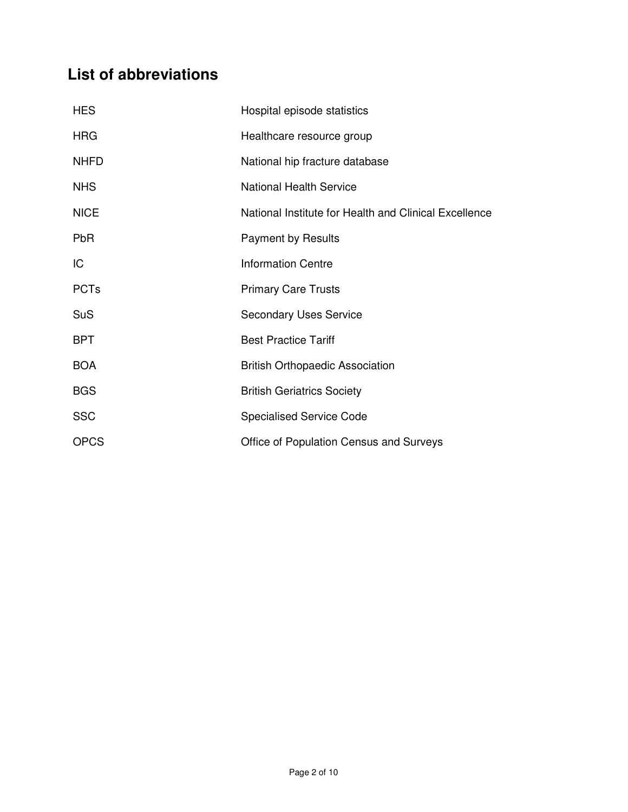## **List of abbreviations**

| <b>HES</b>  | Hospital episode statistics                           |
|-------------|-------------------------------------------------------|
| <b>HRG</b>  | Healthcare resource group                             |
| <b>NHFD</b> | National hip fracture database                        |
| <b>NHS</b>  | <b>National Health Service</b>                        |
| <b>NICE</b> | National Institute for Health and Clinical Excellence |
| <b>PbR</b>  | <b>Payment by Results</b>                             |
| IC          | <b>Information Centre</b>                             |
| <b>PCTs</b> | <b>Primary Care Trusts</b>                            |
| <b>SuS</b>  | <b>Secondary Uses Service</b>                         |
| <b>BPT</b>  | <b>Best Practice Tariff</b>                           |
| <b>BOA</b>  | <b>British Orthopaedic Association</b>                |
| <b>BGS</b>  | <b>British Geriatrics Society</b>                     |
| <b>SSC</b>  | <b>Specialised Service Code</b>                       |
| <b>OPCS</b> | Office of Population Census and Surveys               |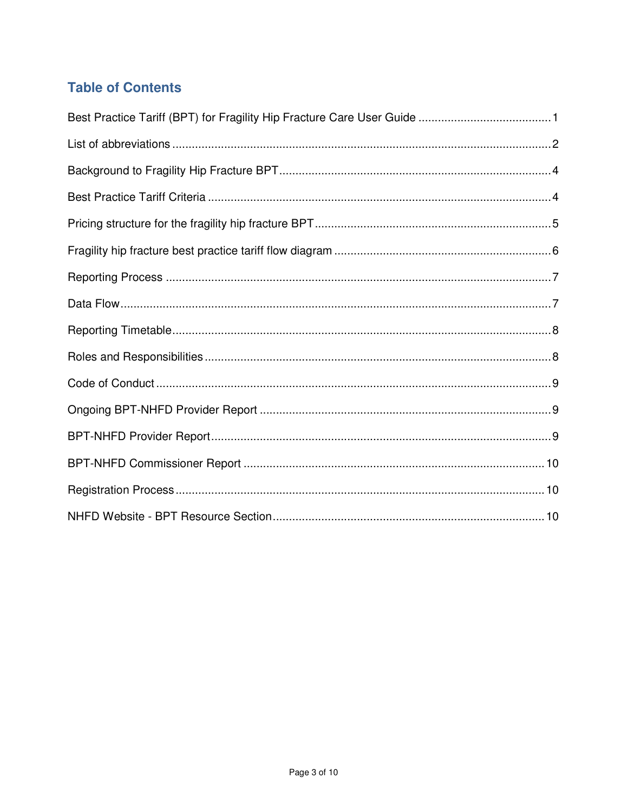### **Table of Contents**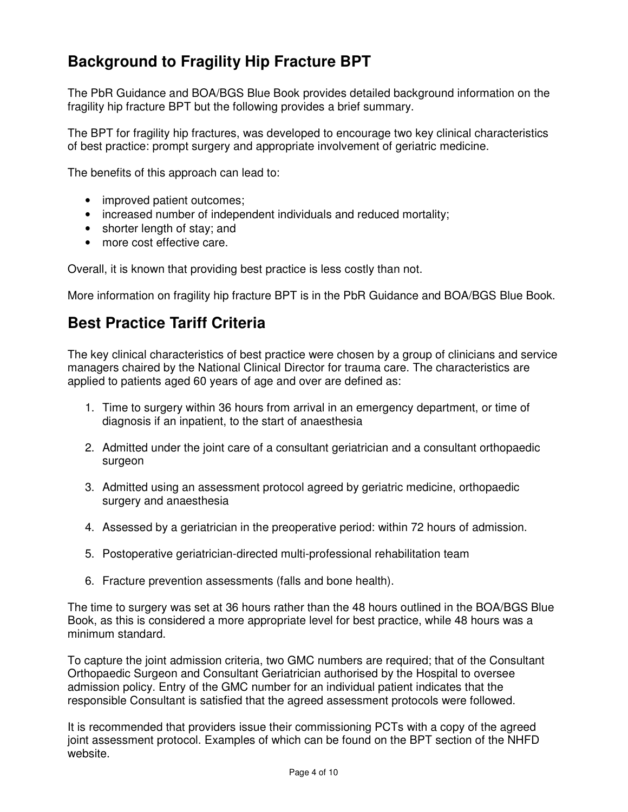## **Background to Fragility Hip Fracture BPT**

The PbR Guidance and BOA/BGS Blue Book provides detailed background information on the fragility hip fracture BPT but the following provides a brief summary.

The BPT for fragility hip fractures, was developed to encourage two key clinical characteristics of best practice: prompt surgery and appropriate involvement of geriatric medicine.

The benefits of this approach can lead to:

- improved patient outcomes;
- increased number of independent individuals and reduced mortality;
- shorter length of stay; and
- more cost effective care.

Overall, it is known that providing best practice is less costly than not.

More information on fragility hip fracture BPT is in the PbR Guidance and BOA/BGS Blue Book.

### **Best Practice Tariff Criteria**

The key clinical characteristics of best practice were chosen by a group of clinicians and service managers chaired by the National Clinical Director for trauma care. The characteristics are applied to patients aged 60 years of age and over are defined as:

- 1. Time to surgery within 36 hours from arrival in an emergency department, or time of diagnosis if an inpatient, to the start of anaesthesia
- 2. Admitted under the joint care of a consultant geriatrician and a consultant orthopaedic surgeon
- 3. Admitted using an assessment protocol agreed by geriatric medicine, orthopaedic surgery and anaesthesia
- 4. Assessed by a geriatrician in the preoperative period: within 72 hours of admission.
- 5. Postoperative geriatrician-directed multi-professional rehabilitation team
- 6. Fracture prevention assessments (falls and bone health).

The time to surgery was set at 36 hours rather than the 48 hours outlined in the BOA/BGS Blue Book, as this is considered a more appropriate level for best practice, while 48 hours was a minimum standard.

To capture the joint admission criteria, two GMC numbers are required; that of the Consultant Orthopaedic Surgeon and Consultant Geriatrician authorised by the Hospital to oversee admission policy. Entry of the GMC number for an individual patient indicates that the responsible Consultant is satisfied that the agreed assessment protocols were followed.

It is recommended that providers issue their commissioning PCTs with a copy of the agreed joint assessment protocol. Examples of which can be found on the BPT section of the NHFD website.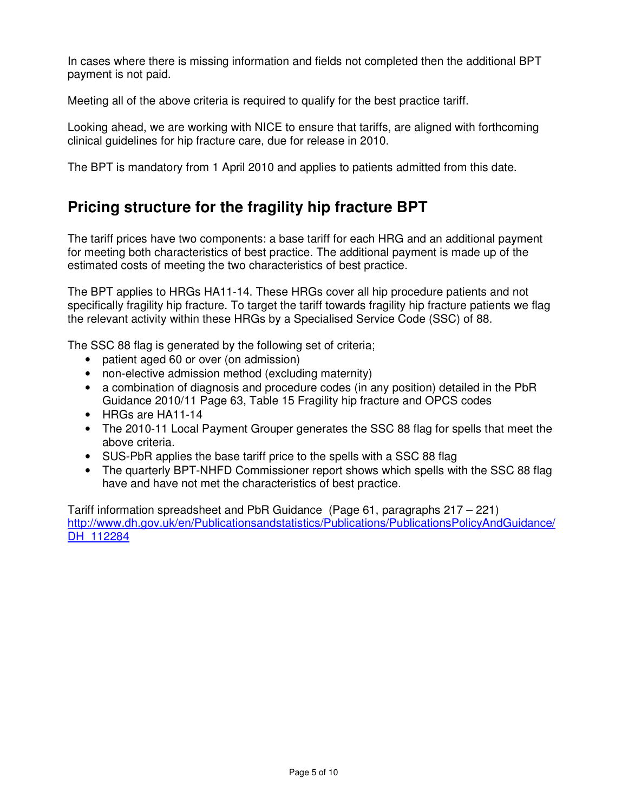In cases where there is missing information and fields not completed then the additional BPT payment is not paid.

Meeting all of the above criteria is required to qualify for the best practice tariff.

Looking ahead, we are working with NICE to ensure that tariffs, are aligned with forthcoming clinical guidelines for hip fracture care, due for release in 2010.

The BPT is mandatory from 1 April 2010 and applies to patients admitted from this date.

## **Pricing structure for the fragility hip fracture BPT**

The tariff prices have two components: a base tariff for each HRG and an additional payment for meeting both characteristics of best practice. The additional payment is made up of the estimated costs of meeting the two characteristics of best practice.

The BPT applies to HRGs HA11-14. These HRGs cover all hip procedure patients and not specifically fragility hip fracture. To target the tariff towards fragility hip fracture patients we flag the relevant activity within these HRGs by a Specialised Service Code (SSC) of 88.

The SSC 88 flag is generated by the following set of criteria;

- patient aged 60 or over (on admission)
- non-elective admission method (excluding maternity)
- a combination of diagnosis and procedure codes (in any position) detailed in the PbR Guidance 2010/11 Page 63, Table 15 Fragility hip fracture and OPCS codes
- HRGs are HA11-14
- The 2010-11 Local Payment Grouper generates the SSC 88 flag for spells that meet the above criteria.
- SUS-PbR applies the base tariff price to the spells with a SSC 88 flag
- The quarterly BPT-NHFD Commissioner report shows which spells with the SSC 88 flag have and have not met the characteristics of best practice.

Tariff information spreadsheet and PbR Guidance (Page 61, paragraphs 217 – 221) http://www.dh.gov.uk/en/Publicationsandstatistics/Publications/PublicationsPolicyAndGuidance/ DH 112284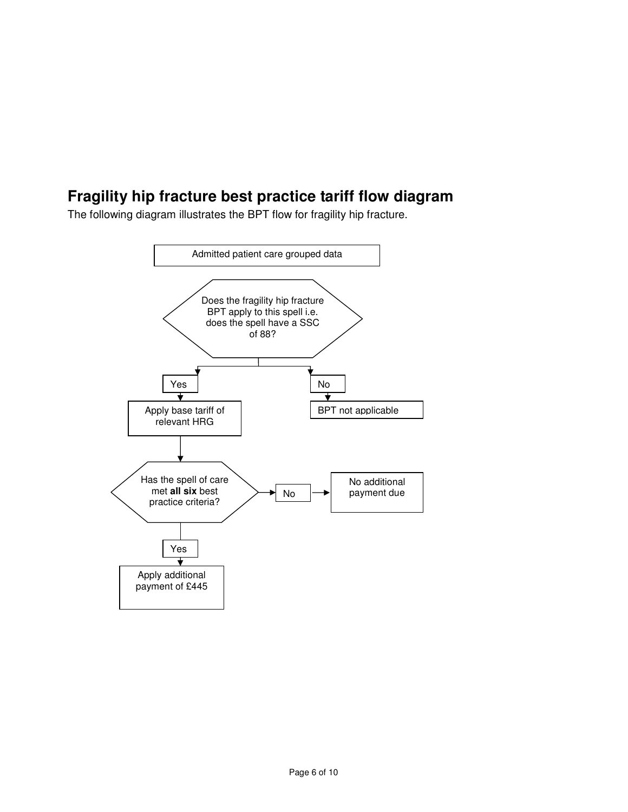## **Fragility hip fracture best practice tariff flow diagram**

The following diagram illustrates the BPT flow for fragility hip fracture.

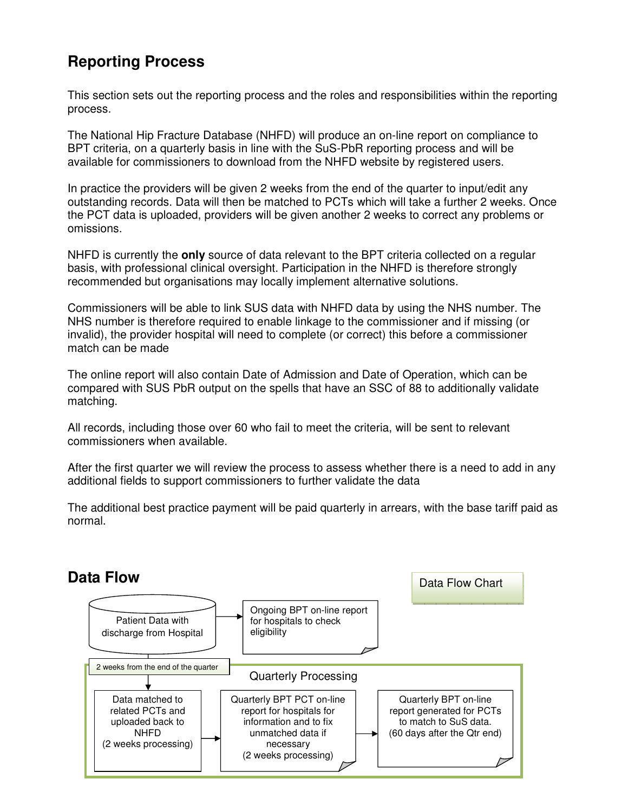## **Reporting Process**

This section sets out the reporting process and the roles and responsibilities within the reporting process.

The National Hip Fracture Database (NHFD) will produce an on-line report on compliance to BPT criteria, on a quarterly basis in line with the SuS-PbR reporting process and will be available for commissioners to download from the NHFD website by registered users.

In practice the providers will be given 2 weeks from the end of the quarter to input/edit any outstanding records. Data will then be matched to PCTs which will take a further 2 weeks. Once the PCT data is uploaded, providers will be given another 2 weeks to correct any problems or omissions.

NHFD is currently the **only** source of data relevant to the BPT criteria collected on a regular basis, with professional clinical oversight. Participation in the NHFD is therefore strongly recommended but organisations may locally implement alternative solutions.

Commissioners will be able to link SUS data with NHFD data by using the NHS number. The NHS number is therefore required to enable linkage to the commissioner and if missing (or invalid), the provider hospital will need to complete (or correct) this before a commissioner match can be made

The online report will also contain Date of Admission and Date of Operation, which can be compared with SUS PbR output on the spells that have an SSC of 88 to additionally validate matching.

All records, including those over 60 who fail to meet the criteria, will be sent to relevant commissioners when available.

After the first quarter we will review the process to assess whether there is a need to add in any additional fields to support commissioners to further validate the data

The additional best practice payment will be paid quarterly in arrears, with the base tariff paid as normal.

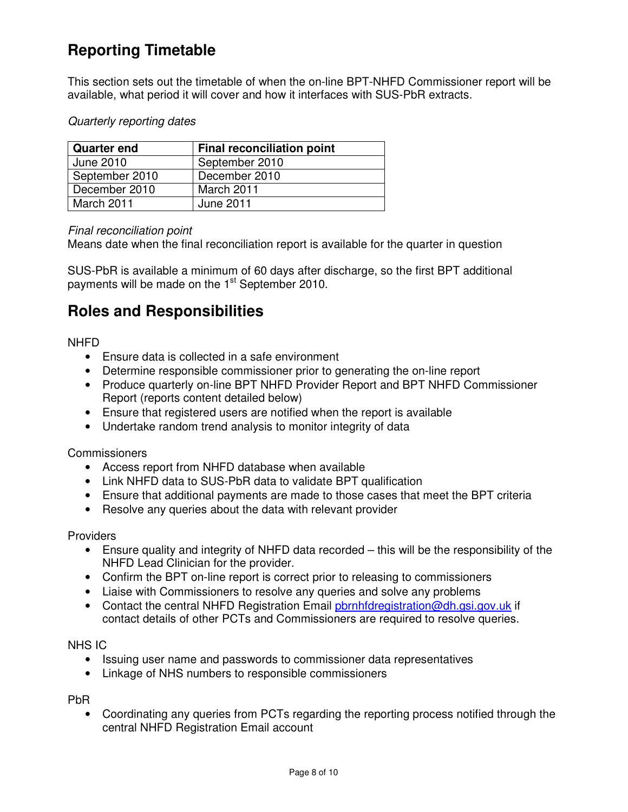# **Reporting Timetable**

This section sets out the timetable of when the on-line BPT-NHFD Commissioner report will be available, what period it will cover and how it interfaces with SUS-PbR extracts.

#### Quarterly reporting dates

| <b>Quarter end</b> | <b>Final reconciliation point</b> |
|--------------------|-----------------------------------|
| June 2010          | September 2010                    |
| September 2010     | December 2010                     |
| December 2010      | March 2011                        |
| March 2011         | June 2011                         |

#### Final reconciliation point

Means date when the final reconciliation report is available for the quarter in question

SUS-PbR is available a minimum of 60 days after discharge, so the first BPT additional payments will be made on the  $1<sup>st</sup>$  September 2010.

### **Roles and Responsibilities**

NHFD

- Ensure data is collected in a safe environment
- Determine responsible commissioner prior to generating the on-line report
- Produce quarterly on-line BPT NHFD Provider Report and BPT NHFD Commissioner Report (reports content detailed below)
- Ensure that registered users are notified when the report is available
- Undertake random trend analysis to monitor integrity of data

#### **Commissioners**

- Access report from NHFD database when available
- Link NHFD data to SUS-PbR data to validate BPT qualification
- Ensure that additional payments are made to those cases that meet the BPT criteria
- Resolve any queries about the data with relevant provider

#### **Providers**

- Ensure quality and integrity of NHFD data recorded this will be the responsibility of the NHFD Lead Clinician for the provider.
- Confirm the BPT on-line report is correct prior to releasing to commissioners
- Liaise with Commissioners to resolve any queries and solve any problems
- Contact the central NHFD Registration Email pornhfdregistration@dh.gsi.gov.uk if contact details of other PCTs and Commissioners are required to resolve queries.

#### NHS IC

- Issuing user name and passwords to commissioner data representatives
- Linkage of NHS numbers to responsible commissioners

### PbR

• Coordinating any queries from PCTs regarding the reporting process notified through the central NHFD Registration Email account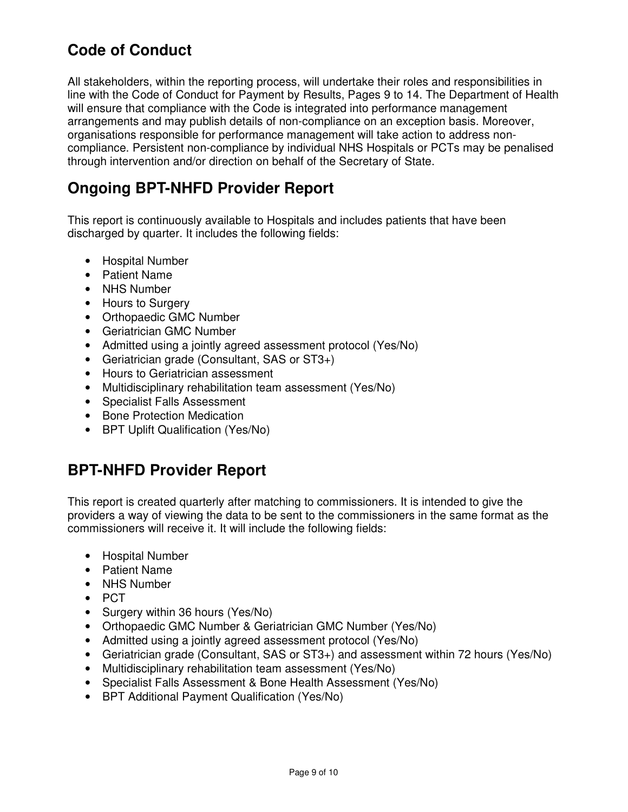## **Code of Conduct**

All stakeholders, within the reporting process, will undertake their roles and responsibilities in line with the Code of Conduct for Payment by Results, Pages 9 to 14. The Department of Health will ensure that compliance with the Code is integrated into performance management arrangements and may publish details of non-compliance on an exception basis. Moreover, organisations responsible for performance management will take action to address noncompliance. Persistent non-compliance by individual NHS Hospitals or PCTs may be penalised through intervention and/or direction on behalf of the Secretary of State.

### **Ongoing BPT-NHFD Provider Report**

This report is continuously available to Hospitals and includes patients that have been discharged by quarter. It includes the following fields:

- Hospital Number
- Patient Name
- NHS Number
- Hours to Surgery
- Orthopaedic GMC Number
- Geriatrician GMC Number
- Admitted using a jointly agreed assessment protocol (Yes/No)
- Geriatrician grade (Consultant, SAS or ST3+)
- Hours to Geriatrician assessment
- Multidisciplinary rehabilitation team assessment (Yes/No)
- Specialist Falls Assessment
- Bone Protection Medication
- BPT Uplift Qualification (Yes/No)

### **BPT-NHFD Provider Report**

This report is created quarterly after matching to commissioners. It is intended to give the providers a way of viewing the data to be sent to the commissioners in the same format as the commissioners will receive it. It will include the following fields:

- Hospital Number
- Patient Name
- NHS Number
- PCT
- Surgery within 36 hours (Yes/No)
- Orthopaedic GMC Number & Geriatrician GMC Number (Yes/No)
- Admitted using a jointly agreed assessment protocol (Yes/No)
- Geriatrician grade (Consultant, SAS or ST3+) and assessment within 72 hours (Yes/No)
- Multidisciplinary rehabilitation team assessment (Yes/No)
- Specialist Falls Assessment & Bone Health Assessment (Yes/No)
- BPT Additional Payment Qualification (Yes/No)